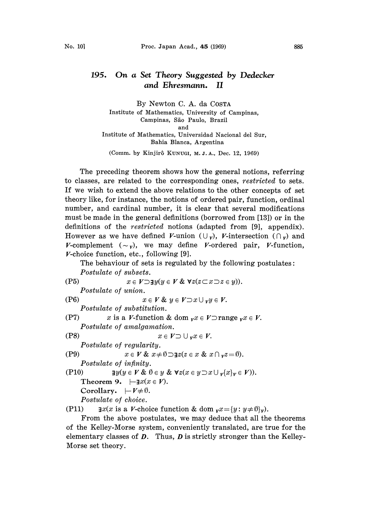## 195. On a Set Theory Suggested by Dedecker and Ehresmann. II

By Newton C. A. da COSTA Institute of Mathematics, University of Campinas, Campinas, São Paulo, Brazil and Institute of Mathematics, Universidad Nacional del Sur, Bahia Blanca, Argentina

(Comm. by Kinjir5 KUNUGI, M. J.A., Dec. 12, 1969)

The preceding theorem shows how the general notions, referring to classes, are related to the corresponding ones, restricted to sets. If we wish to extend the above relations to the other concepts of set theory like, for instance, the notions of ordered pair, function, ordinal number, and cardinal number, it is clear that several modifications must be made in the general definitions (borrowed from [13]) or in the definitions of the *restricted* notions (adapted from [9], appendix). However as we have defined V-union  $(\cup_{\nu})$ , V-intersection  $(\cap_{\nu})$  and V-complement  $(\sim_v)$ , we may define V-ordered pair, V-function,  $V$ -choice function, etc., following [9].

The behaviour of sets is regulated by the following postulates: Postulate of subsets.

$$
(P5) \quad x \in V \supseteq \mathbf{y}(y \in V \& \forall z(z \subset x \supset z \in y)).
$$

Postulate of union.

(P6)  $x \in V$  &  $y \in V \supset x \cup_{v} y \in V$ .

Postulate of substitution.

(P7)  $x$  is a *V*-function & dom  $\mathbf{v}x \in V \supset \text{range } \mathbf{v}x \in V$ . Postulate of amalgamation.

$$
x\in \textit{\textbf{V}}\supset \cup_{\textit{\textbf{v}}} x\in \textit{\textbf{V}}
$$

Postulate of regularity.

$$
(P9) \t x \in V \& x \neq \emptyset \supset \exists z (z \in x \& x \cap \nu z = \emptyset).
$$

Postulate of infinity.

 $(P8)$ 

$$
\text{(P10)} \quad\n \exists y(y \in V \& \emptyset \in y \& \forall z(x \in y \supset x \cup \{x\}_y \in V)).
$$
\n
$$
\text{Theorem 9.} \quad \Box x(x \in V).
$$

Theorem 9.  $\vdash \exists x(x \in V)$ . Corollary.  $|-V\neq\emptyset$ .

Postulate of choice.

├─*V≠9*.<br>*choice.*<br>a *V-*choi<br>ove pos (P11)  $\exists x(x \text{ is a } V\text{-choice function} \& \text{ dom } {}_V x = \{y: y \neq \emptyset\}_V).$ 

From the above postulates, we may deduce that all the theorems of the Kelley-Morse system, conveniently translated, are true for the elementary classes of  $D$ . Thus,  $D$  is strictly stronger than the Kelley-Morse set theory.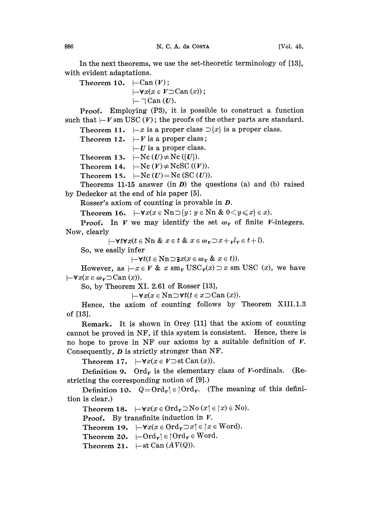In the next theorems, we use the set-theoretic terminology of [13], with evident adaptations.

Theorem 10.  $\vdash$ Can  $(V)$ ;

$$
\vdash\forall x(x\in V\supset\text{Can }(x));\\ \vdash\bigcap\text{Can }(U).
$$

- - Can (V). **Proof.** Employing  $(P3)$ , it is possible to construct a function such that  $\vdash V$  sm USC (V); the proofs of the other parts are standard.

Theorem 11.  $-x$  is a proper class  $\supset \{x\}$  is a proper class.

Theorem 12.  $\vdash V$  is a proper class;

 $-U$  is a proper class.

Theorem 13.  $\vdash$ Nc  $(U) \neq$ Nc  $(\{U\})$ .

Theorem 14.  $\vdash$ Nc  $(V) \neq$ NcSC  $((V))$ .

Theorem 15.  $\vdash$ Nc (U) = Nc (SC (U)).

Theorems 11-15 answer (in  $D$ ) the questions (a) and (b) raised by Dedeeker at the end of his paper [5].

Rosser's axiom of counting is provable in D.

Theorem 16.  $]-\forall x(x \in \text{Nn} \supseteq {y : y \in \text{Nn} \& 0 < y \leq x} \in x$ .

**Proof.** In V we may identify the set  $\omega_v$  of finite V-integers. Now, clearly

 $-\forall t \forall x (t \in \mathbb{N} \land x \in t \& x \in \omega_{\mathbf{v}} \supset x + \mathbf{v} \in t + l).$ 

So, we easily infer

 $\vdash \forall t (t \in \mathbb{N} \cap \exists x (x \in \omega_{\mathbf{v}} \& x \in t)).$ 

However, as  $-x \in V$  & x sm<sub>v</sub> USC<sub>v</sub>(x)  $\supset x$  sm USC (x), we have  $-\forall x(x \in \omega_{\nu} \supset \text{Can}(x)).$ 

So, by Theorem XI. 2.61 of Rosser [13],

 $\vdash\forall x(x\in\text{Nn}\supset\forall t(t\in x\supset\text{Can}(x)).$ 

Hence, the axiom of counting follows by Theorem XIII.1.3 of [13].

Remark. It is shown in Orey [11] that the axiom of counting cannot be proved in NF, if this system is consistent. Hence, there is no hope to prove in NF our axioms by a suitable definition of  $V$ . Consequently, D is strictly stronger than NF.

Theorem 17.  $\vdash\forall x(x\in V\supseteq \text{st Can }(x)).$ 

Definition 9. Ord<sub>v</sub> is the elementary class of V-ordinals. (Restricting the corresponding notion of [9].)

Definition 10.  $Q = \text{Ord}_{v} \in \text{Ord}_{v}$ . (The meaning of this definition is clear.)

Theorem 18.  $\vdash \forall x(x \in \text{Ord}_v \supset \text{No} (x \in \wedge x) \in \text{No}).$ 

**Proof.** By transfinite induction in  $V$ .

Theorem 19.  $\vdash \forall x(x \in \text{Ord}_v \supset x) \in \forall x \in \text{Word}.$ 

Theorem 20.  $\leftarrow \text{Ord}_{v} \in \text{Vert}_{v} \in \text{Word}.$ 

Theorem 21.  $\vdash$ st Can  $(AV(Q))$ .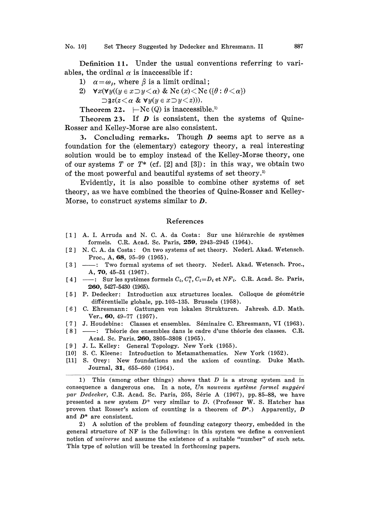Definition 11. Under the usual conventions referring to variables, the ordinal  $\alpha$  is inaccessible if:

- 1)  $\alpha = \omega_{\beta}$ , where  $\beta$  is a limit ordinal;
- 2)  $\forall x (\forall y ((y \in x \supset y < \alpha) \& \mathbb{N}c(x) < \mathbb{N}c (\{\theta : \theta < \alpha\})$  $\exists z(z \leq \alpha \& \forall y(y \in x \exists y \leq z))$ .

Theorem 22.  $\vdash$  Nc (Q) is inaccessible.<sup>1)</sup>

Theorem 23. If  $D$  is consistent, then the systems of Quine-Rosser and Kelley-Morse are also consistent.

3. Concluding remarks. Though D seems apt to serve as <sup>a</sup> foundation for the (elementary) category theory, a real interesting solution would be to employ instead of the Kelley-Morse theory, one of our systems T or  $T^*$  (cf. [2] and [3]): in this way, we obtain two of the most powerful and beautiful systems of set theory.<sup>2)</sup>

Evidently, it is also possible to combine other systems of set theory, as we have combined the theories of Quine-Rosser and Kelley-Morse, to construct systems similar to D.

## References

- [1] A. I. Arruda and N. C. A. da Costa: Sur une hiérarchie de systèmes formels. C.R. Acad. Sc. Paris, 259, 2943-2945 (1964).
- [2] N. C. A. da Costa: On two systems of set theory. Nederl. Akad. Wetensch. Proc., A, 68, 95-99 (1965).
- [3]  $-$ : Two formal systems of set theory. Nederl. Akad. Wetensch. Proc., A, 70, 45-51 (1967).
- [4]  $\longrightarrow$ : Sur les systèmes formels  $C_i, C_i^*, C_i = D_i$  et NF<sub>i</sub>. C.R. Acad. Sc. Paris 260, 5427-5430 (1965).
- [5] P. Dedecker: Introduction aux structures locales. Colloque de géométrie différentielle globale, pp. 103-135. Brussels (1958).
- [6] C. Ehresmann: Gattungen von lokalen Strukturen. Jahresb. d.D. Math. Ver., 60, 49-77 (1957).
- [7] J. Houdebine: Classes et ensembles. Séminaire C. Ehresmann, VI (1963).
- $[8] -$ - : Théorie des ensembles dans le cadre d'une théorie des classes. C.R. Acad. Sc. Paris, 260, 3805-3808 (1965).
- [9] J. L. Kelley: General Topology. New York (1955).
- [I0] S. C. Kleene: Introduction to Metamathematics. New York (1952).
- [11] S. Orey: New foundations and the axiom of counting. Duke Math. Journal, 31, 655-660 (1964).

1) This (among other things) shows that  $D$  is a strong system and in consequence a dangerous one. In a note, Un nouveau système formel suggéré par Dedecker, C.R. Acad. Sc. Paris, 265, Série A  $(1967)$ , pp. 85-88, we have presented a new system  $D^*$  very similar to D. (Professor W. S. Hatcher has proven that Rosser's axiom of counting is a theorem of  $D^*$ .) Apparently, D and D\* are consistent.

2) A solution of the problem of founding category theory, embedded in the general structure of NF is the following: in this system we define <sup>a</sup> convenient notion of universe and assume the existence of a suitable "number" of such sets. This type of solution will be treated in forthcoming papers.